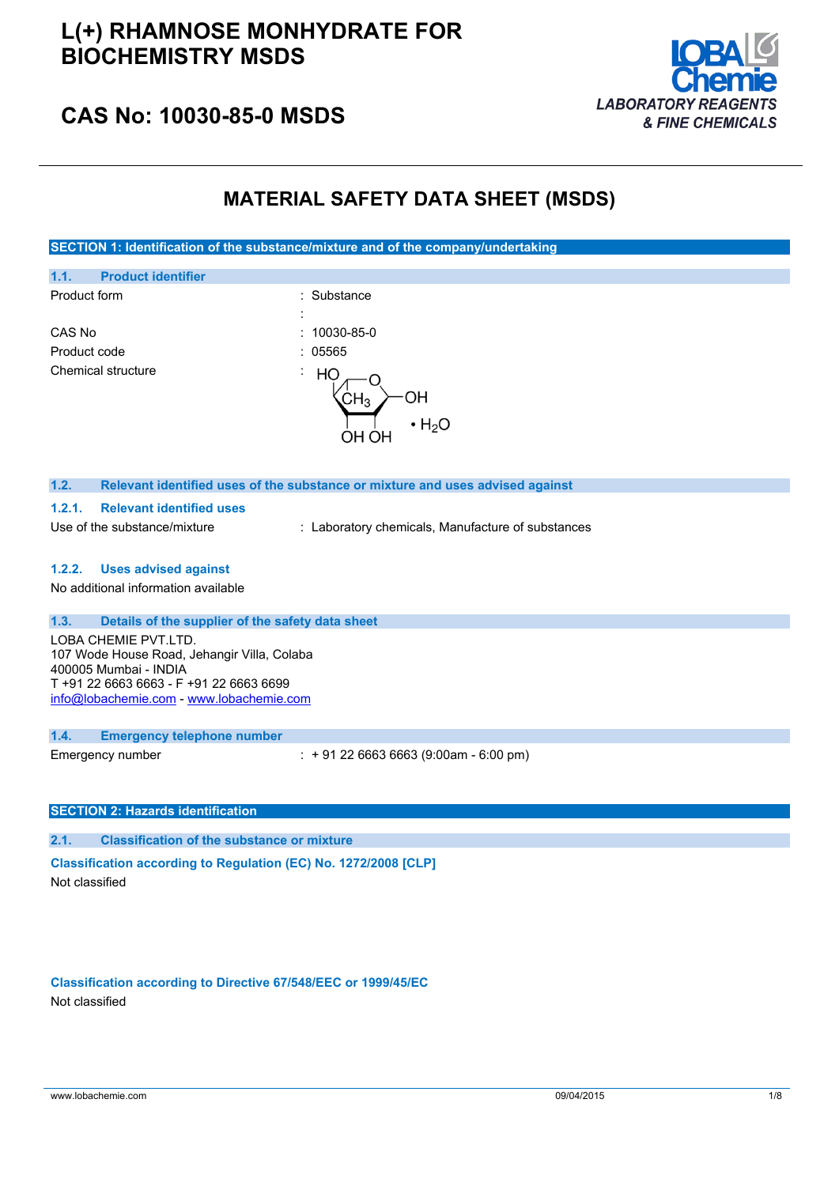

### **CAS No: 10030-85-0 MSDS**

### **MATERIAL SAFETY DATA SHEET (MSDS)**

**SECTION 1: Identification of the substance/mixture and of the company/undertaking**

|                                                                                                                                                                                     | vwi i ji vitivot tvitili (                                                    |
|-------------------------------------------------------------------------------------------------------------------------------------------------------------------------------------|-------------------------------------------------------------------------------|
| 1.1.<br><b>Product identifier</b>                                                                                                                                                   |                                                                               |
| Product form                                                                                                                                                                        | Substance<br>$\cdot$                                                          |
|                                                                                                                                                                                     |                                                                               |
| CAS No                                                                                                                                                                              | 10030-85-0<br>٠                                                               |
| Product code                                                                                                                                                                        | 05565                                                                         |
| Chemical structure                                                                                                                                                                  | İ,<br>HO<br>OН<br>CH <sub>3</sub><br>$\cdot$ H <sub>2</sub> O<br>OH OH        |
| 1.2.                                                                                                                                                                                | Relevant identified uses of the substance or mixture and uses advised against |
| <b>Relevant identified uses</b><br>1.2.1.                                                                                                                                           |                                                                               |
| Use of the substance/mixture                                                                                                                                                        | : Laboratory chemicals, Manufacture of substances                             |
| <b>Uses advised against</b><br>1.2.2.                                                                                                                                               |                                                                               |
| No additional information available                                                                                                                                                 |                                                                               |
| 1.3.<br>Details of the supplier of the safety data sheet                                                                                                                            |                                                                               |
| LOBA CHEMIE PVT.LTD.<br>107 Wode House Road, Jehangir Villa, Colaba<br>400005 Mumbai - INDIA<br>T +91 22 6663 6663 - F +91 22 6663 6699<br>info@lobachemie.com - www.lobachemie.com |                                                                               |
| 1.4.<br><b>Emergency telephone number</b>                                                                                                                                           |                                                                               |

Emergency number : + 91 22 6663 6663 (9:00am - 6:00 pm)

#### **SECTION 2: Hazards identification**

**2.1. Classification of the substance or mixture**

**Classification according to Regulation (EC) No. 1272/2008 [CLP]** Not classified

**Classification according to Directive 67/548/EEC or 1999/45/EC** Not classified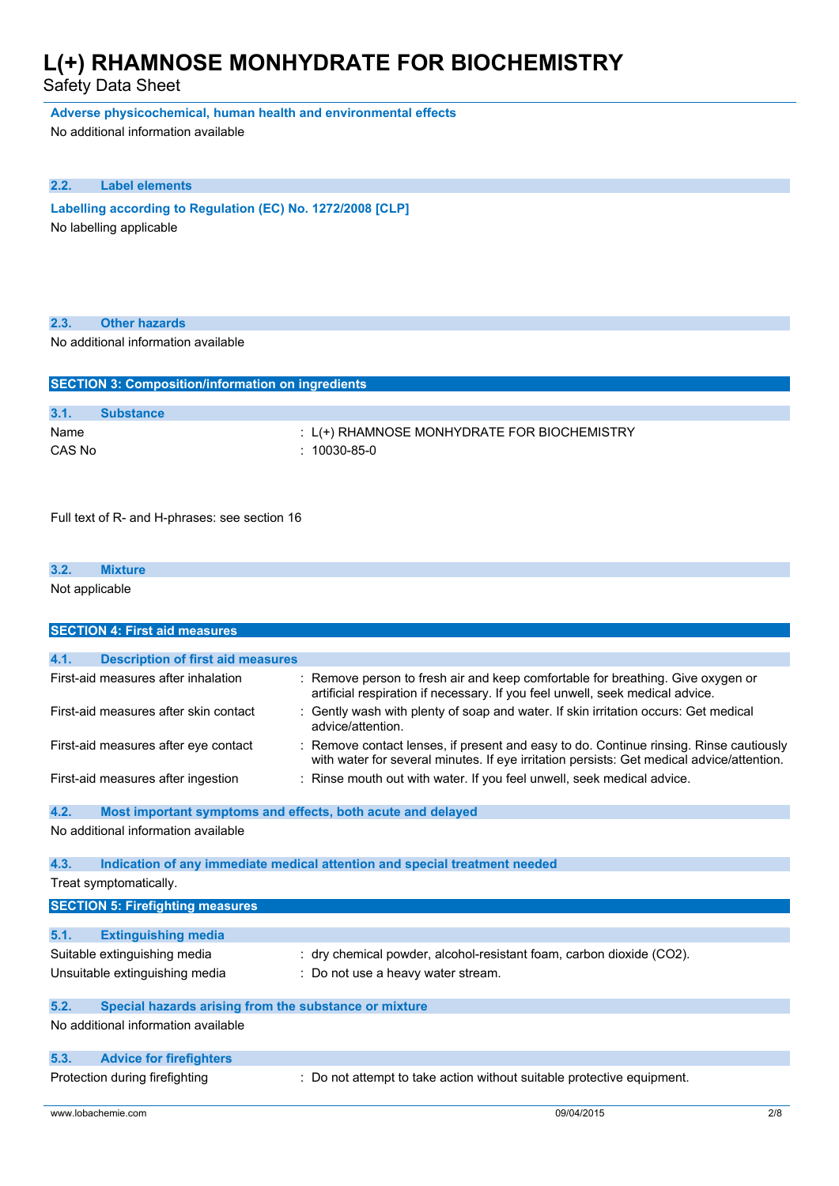Safety Data Sheet

**Adverse physicochemical, human health and environmental effects**

No additional information available

#### **2.2. Label elements**

**Labelling according to Regulation** (EC) No. 1272/2008 [CLP] No labelling applicable

| 2.3. | <b>Other hazards</b>                |  |
|------|-------------------------------------|--|
|      | No additional information available |  |

| <b>SECTION 3: Composition/information on ingredients</b> |                  |                                                                      |  |
|----------------------------------------------------------|------------------|----------------------------------------------------------------------|--|
| 3.1.                                                     | <b>Substance</b> |                                                                      |  |
| Name<br>CAS No                                           |                  | $: L$ (+) RHAMNOSE MONHYDRATE FOR BIOCHEMISTRY<br>$: 10030 - 85 - 0$ |  |

Full text of R- and H-phrases: see section 16

| 3.2.                     | . |  |  |  |
|--------------------------|---|--|--|--|
| Not applicable<br>$\sim$ | . |  |  |  |

|      | <b>SECTION 4: First aid measures</b>                        |                                                                                                                                                                                   |
|------|-------------------------------------------------------------|-----------------------------------------------------------------------------------------------------------------------------------------------------------------------------------|
|      |                                                             |                                                                                                                                                                                   |
| 4.1. | <b>Description of first aid measures</b>                    |                                                                                                                                                                                   |
|      | First-aid measures after inhalation                         | Remove person to fresh air and keep comfortable for breathing. Give oxygen or<br>artificial respiration if necessary. If you feel unwell, seek medical advice.                    |
|      | First-aid measures after skin contact                       | Gently wash with plenty of soap and water. If skin irritation occurs: Get medical<br>advice/attention.                                                                            |
|      | First-aid measures after eye contact                        | Remove contact lenses, if present and easy to do. Continue rinsing. Rinse cautiously<br>with water for several minutes. If eye irritation persists: Get medical advice/attention. |
|      | First-aid measures after ingestion                          | Rinse mouth out with water. If you feel unwell, seek medical advice.                                                                                                              |
| 4.2. | Most important symptoms and effects, both acute and delayed |                                                                                                                                                                                   |
|      | No additional information available                         |                                                                                                                                                                                   |
| 4.3. |                                                             | Indication of any immediate medical attention and special treatment needed                                                                                                        |
|      | Treat symptomatically.                                      |                                                                                                                                                                                   |
|      | <b>SECTION 5: Firefighting measures</b>                     |                                                                                                                                                                                   |
| 5.1. | <b>Extinguishing media</b>                                  |                                                                                                                                                                                   |
|      | Suitable extinguishing media                                | dry chemical powder, alcohol-resistant foam, carbon dioxide (CO2).                                                                                                                |
|      | Unsuitable extinguishing media                              | Do not use a heavy water stream.                                                                                                                                                  |
|      |                                                             |                                                                                                                                                                                   |
| 5.2. | Special hazards arising from the substance or mixture       |                                                                                                                                                                                   |
|      | No additional information available                         |                                                                                                                                                                                   |
| 5.3. | <b>Advice for firefighters</b>                              |                                                                                                                                                                                   |
|      | Protection during firefighting                              | Do not attempt to take action without suitable protective equipment.                                                                                                              |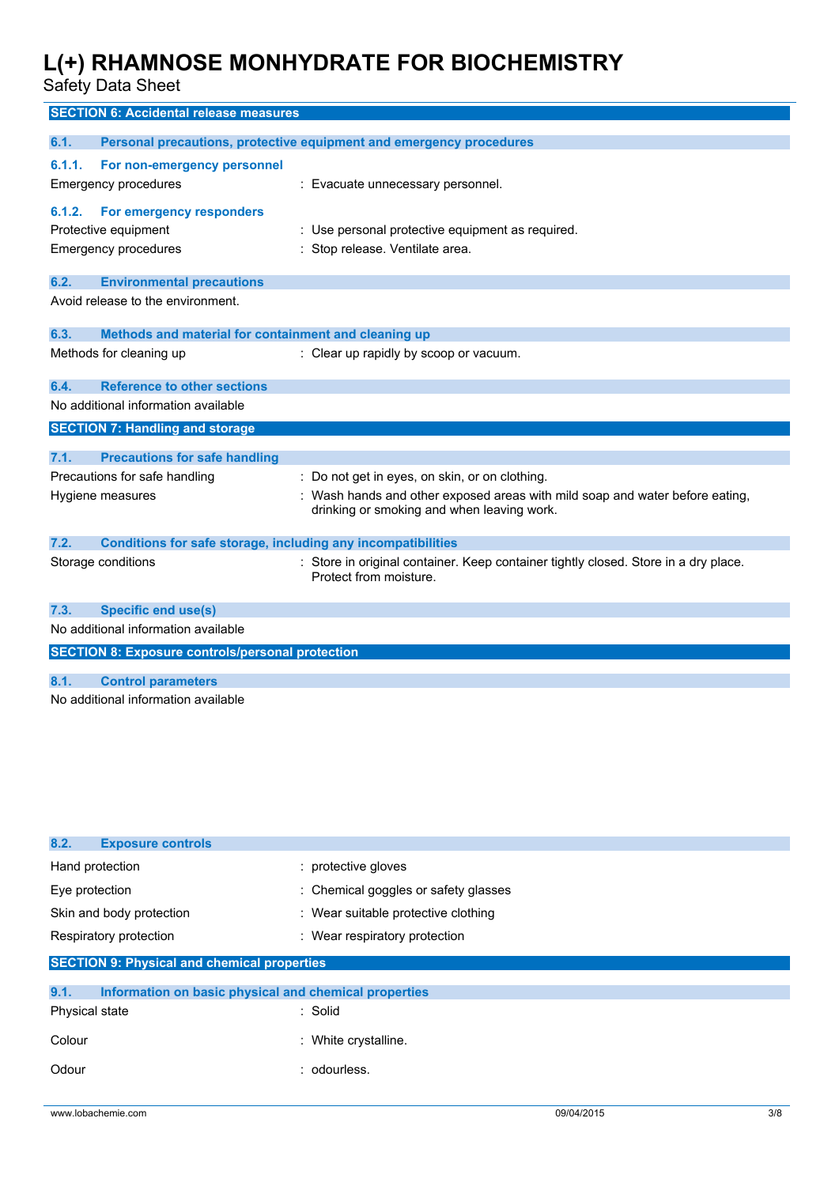Safety Data Sheet

| <b>SECTION 6: Accidental release measures</b>                                             |                                                                                                                            |
|-------------------------------------------------------------------------------------------|----------------------------------------------------------------------------------------------------------------------------|
| 6.1.                                                                                      | Personal precautions, protective equipment and emergency procedures                                                        |
| 6.1.1.<br>For non-emergency personnel<br>Emergency procedures                             | : Evacuate unnecessary personnel.                                                                                          |
| 6.1.2.<br>For emergency responders<br>Protective equipment<br><b>Emergency procedures</b> | : Use personal protective equipment as required.<br>: Stop release. Ventilate area.                                        |
| 6.2.<br><b>Environmental precautions</b>                                                  |                                                                                                                            |
| Avoid release to the environment.                                                         |                                                                                                                            |
| 6.3.                                                                                      | Methods and material for containment and cleaning up                                                                       |
| Methods for cleaning up                                                                   | : Clear up rapidly by scoop or vacuum.                                                                                     |
| <b>Reference to other sections</b><br>6.4.                                                |                                                                                                                            |
| No additional information available                                                       |                                                                                                                            |
| <b>SECTION 7: Handling and storage</b>                                                    |                                                                                                                            |
| 7.1.<br><b>Precautions for safe handling</b>                                              |                                                                                                                            |
| Precautions for safe handling                                                             | : Do not get in eyes, on skin, or on clothing.                                                                             |
| Hygiene measures                                                                          | : Wash hands and other exposed areas with mild soap and water before eating,<br>drinking or smoking and when leaving work. |
| 7.2.                                                                                      | Conditions for safe storage, including any incompatibilities                                                               |
| Storage conditions                                                                        | : Store in original container. Keep container tightly closed. Store in a dry place.<br>Protect from moisture.              |
| 7.3.<br><b>Specific end use(s)</b>                                                        |                                                                                                                            |
| No additional information available                                                       |                                                                                                                            |
| <b>SECTION 8: Exposure controls/personal protection</b>                                   |                                                                                                                            |
| 8.1.<br><b>Control parameters</b>                                                         |                                                                                                                            |
| No additional information available                                                       |                                                                                                                            |
|                                                                                           |                                                                                                                            |

| 8.2.<br><b>Exposure controls</b>                              |                                      |  |  |  |
|---------------------------------------------------------------|--------------------------------------|--|--|--|
| Hand protection                                               | : protective gloves                  |  |  |  |
| Eye protection                                                | : Chemical goggles or safety glasses |  |  |  |
| Skin and body protection                                      | : Wear suitable protective clothing  |  |  |  |
| Respiratory protection                                        | : Wear respiratory protection        |  |  |  |
| <b>SECTION 9: Physical and chemical properties</b>            |                                      |  |  |  |
| 9.1.<br>Information on basic physical and chemical properties |                                      |  |  |  |
| Physical state                                                | : Solid                              |  |  |  |
| Colour                                                        | : White crystalline.                 |  |  |  |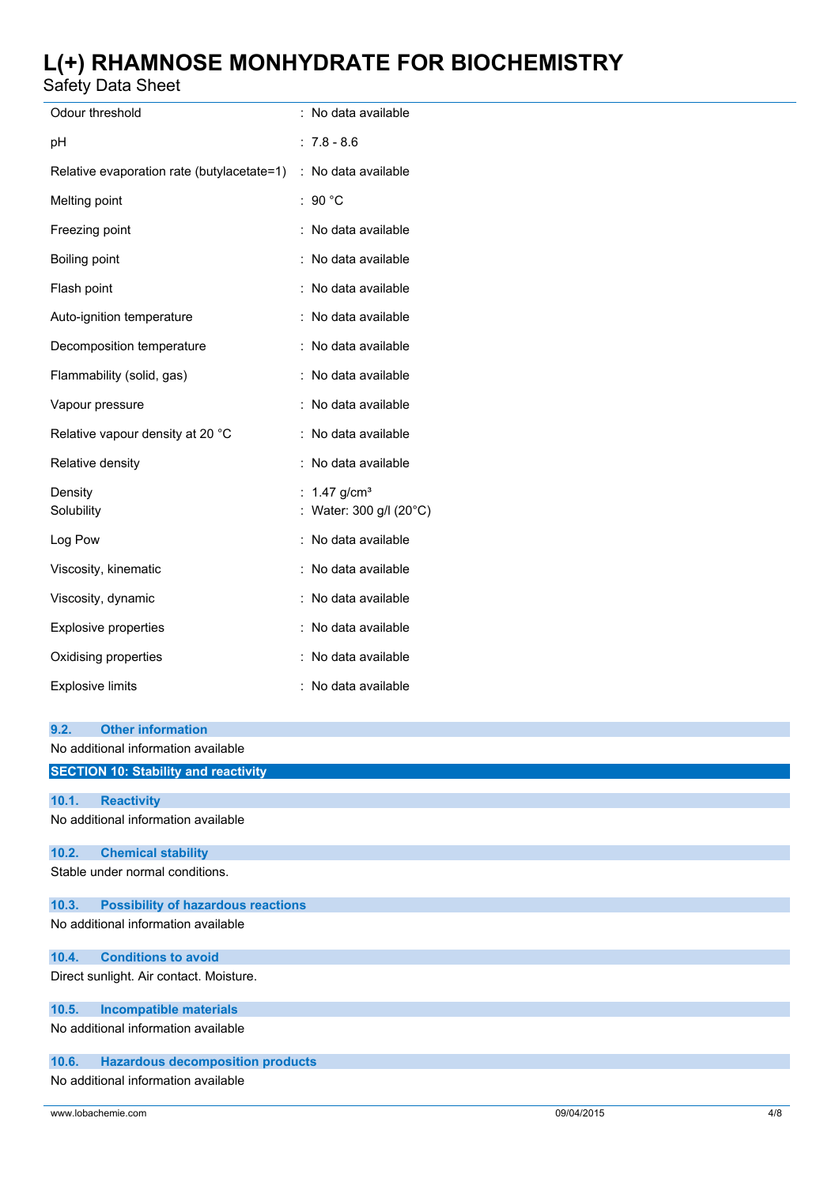Safety Data Sheet

| Odour threshold                                    | : No data available                          |
|----------------------------------------------------|----------------------------------------------|
| рH                                                 | $: 7.8 - 8.6$                                |
| Relative evaporation rate (butylacetate=1)         | : No data available                          |
| Melting point                                      | : 90 $^{\circ}$ C                            |
| Freezing point                                     | : No data available                          |
| Boiling point                                      | : No data available                          |
| Flash point                                        | : No data available                          |
| Auto-ignition temperature                          | : No data available                          |
| Decomposition temperature                          | : No data available                          |
| Flammability (solid, gas)                          | : No data available                          |
| Vapour pressure                                    | : No data available                          |
| Relative vapour density at 20 °C                   | : No data available                          |
| Relative density                                   | : No data available                          |
| Density<br>Solubility                              | : 1.47 $g/cm^{3}$<br>: Water: 300 g/l (20°C) |
| Log Pow                                            | : No data available                          |
| Viscosity, kinematic                               | : No data available                          |
| Viscosity, dynamic                                 | : No data available                          |
| Explosive properties                               | : No data available                          |
| Oxidising properties                               | : No data available                          |
| <b>Explosive limits</b>                            | : No data available                          |
| 9.2.<br><b>Other information</b>                   |                                              |
| No additional information available                |                                              |
| <b>SECTION 10: Stability and reactivity</b>        |                                              |
| <b>Reactivity</b><br>10.1.                         |                                              |
| No additional information available                |                                              |
| 10.2.<br><b>Chemical stability</b>                 |                                              |
| Stable under normal conditions.                    |                                              |
| <b>Possibility of hazardous reactions</b><br>10.3. |                                              |
| No additional information available                |                                              |
| <b>Conditions to avoid</b><br>10.4.                |                                              |
| Direct sunlight. Air contact. Moisture.            |                                              |
| <b>Incompatible materials</b><br>10.5.             |                                              |
| No additional information available                |                                              |
| <b>Hazardous decomposition products</b><br>10.6.   |                                              |
| No additional information available                |                                              |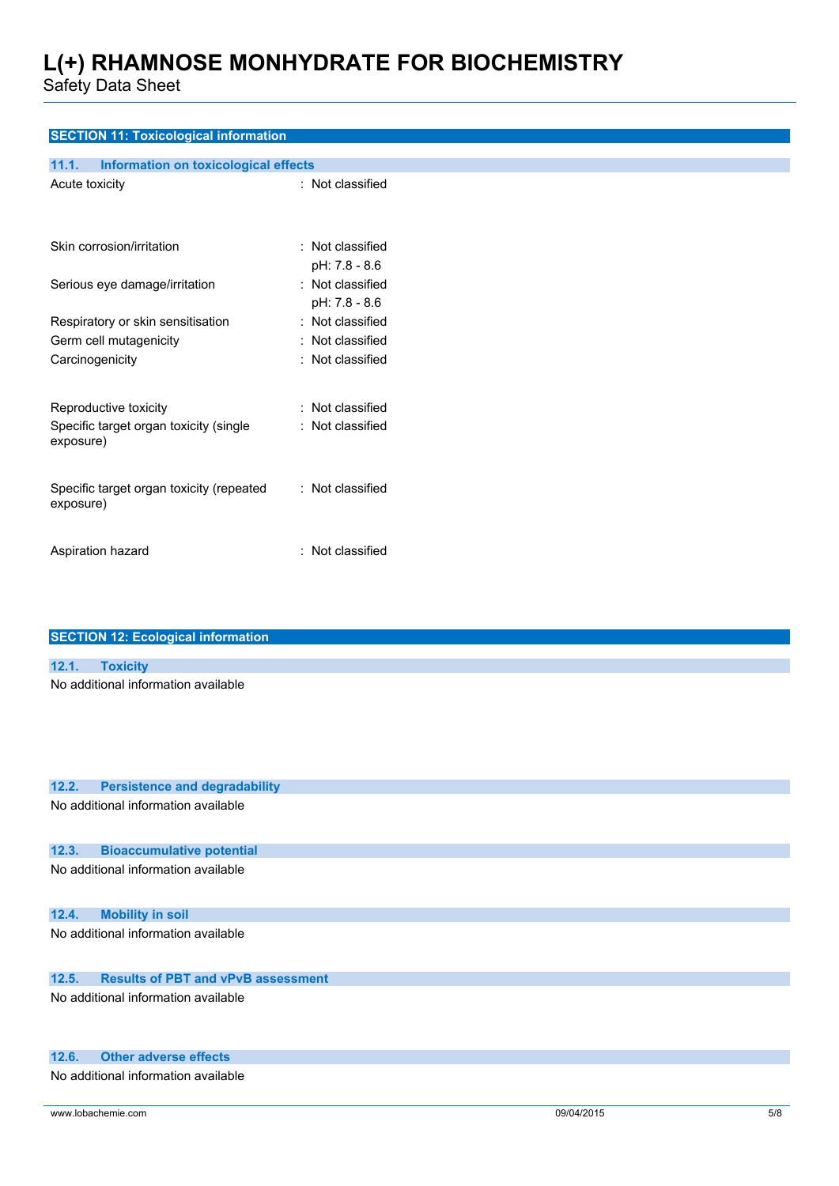Safety Data Sheet

| <b>SECTION 11: Toxicological information</b>  |                  |
|-----------------------------------------------|------------------|
| 11.1.<br>Information on toxicological effects |                  |
| Acute toxicity                                | : Not classified |
|                                               |                  |
|                                               |                  |
| Skin corrosion/irritation                     | : Not classified |
|                                               | pH: 7.8 - 8.6    |
|                                               | : Not classified |
| Serious eye damage/irritation                 |                  |
|                                               | pH: 7.8 - 8.6    |
| Respiratory or skin sensitisation             | : Not classified |
| Germ cell mutagenicity                        | : Not classified |
| Carcinogenicity                               | : Not classified |
|                                               |                  |
| Reproductive toxicity                         | : Not classified |
| Specific target organ toxicity (single        | : Not classified |
| exposure)                                     |                  |
|                                               |                  |
| Specific target organ toxicity (repeated      | : Not classified |
| exposure)                                     |                  |
|                                               |                  |
|                                               |                  |
| Aspiration hazard                             | : Not classified |
|                                               |                  |
|                                               |                  |
|                                               |                  |
| <b>SECTION 12: Ecological information</b>     |                  |
| <b>Toxicity</b><br>12.1.                      |                  |
| No additional information available           |                  |
|                                               |                  |
|                                               |                  |
|                                               |                  |
|                                               |                  |
|                                               |                  |
| 12.2.<br><b>Persistence and degradability</b> |                  |

No additional information available

#### **12.3. Bioaccumulative potential**

No additional information available

#### **12.4. Mobility in soil**

No additional information available

#### **12.5. Results of PBT and vPvB assessment**

No additional information available

#### **12.6. Other adverse effects**

No additional information available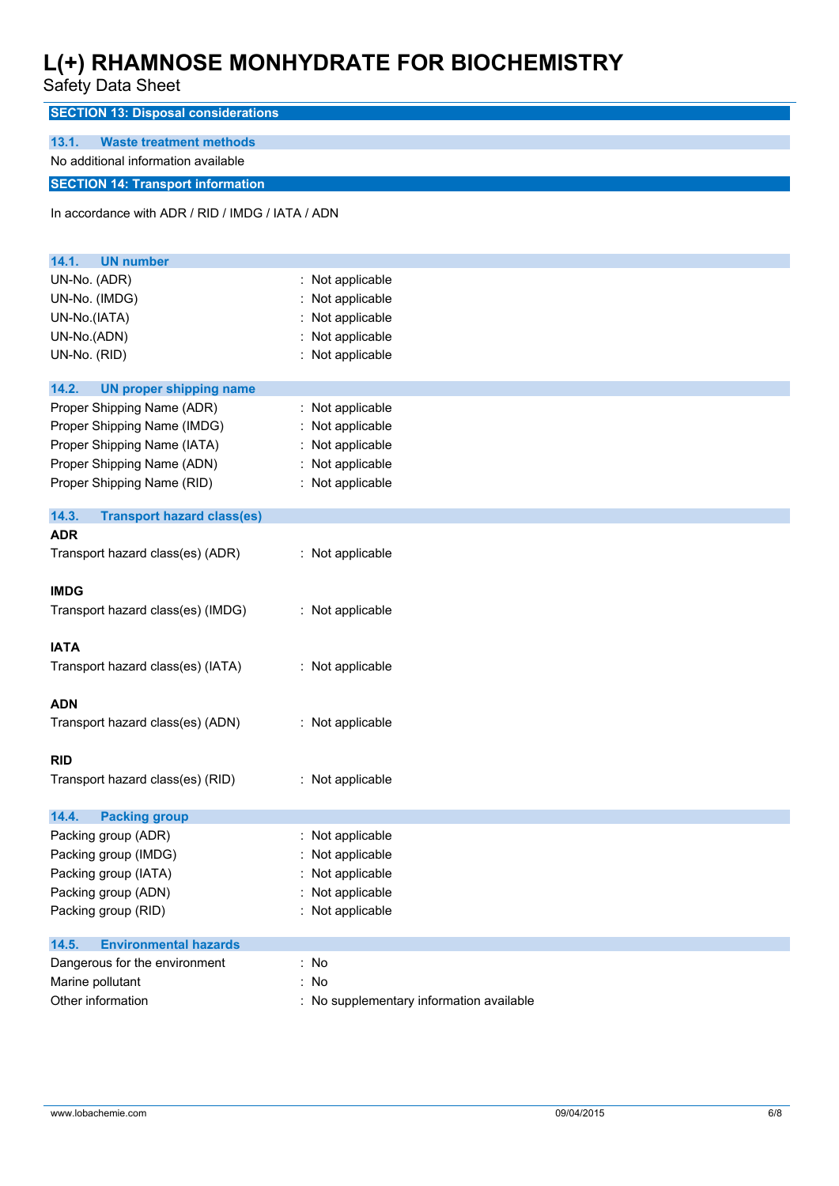Safety Data Sheet

**SECTION 13: Disposal considerations**

**13.1. Waste treatment methods** No additional information available

### **SECTION 14: Transport information**

In accordance with ADR / RID / IMDG / IATA / ADN

| 14.1.<br><b>UN number</b>                  |                                          |
|--------------------------------------------|------------------------------------------|
| UN-No. (ADR)                               | Not applicable                           |
| UN-No. (IMDG)                              | Not applicable                           |
| UN-No.(IATA)                               | Not applicable                           |
| UN-No.(ADN)                                | Not applicable                           |
| UN-No. (RID)                               | Not applicable                           |
|                                            |                                          |
| 14.2.<br><b>UN proper shipping name</b>    |                                          |
| Proper Shipping Name (ADR)                 | Not applicable                           |
| Proper Shipping Name (IMDG)                | Not applicable                           |
| Proper Shipping Name (IATA)                | Not applicable                           |
| Proper Shipping Name (ADN)                 | Not applicable                           |
| Proper Shipping Name (RID)                 | Not applicable                           |
|                                            |                                          |
| 14.3.<br><b>Transport hazard class(es)</b> |                                          |
| <b>ADR</b>                                 |                                          |
| Transport hazard class(es) (ADR)           | : Not applicable                         |
|                                            |                                          |
| <b>IMDG</b>                                |                                          |
| Transport hazard class(es) (IMDG)          | : Not applicable                         |
|                                            |                                          |
| <b>IATA</b>                                |                                          |
| Transport hazard class(es) (IATA)          | : Not applicable                         |
|                                            |                                          |
| <b>ADN</b>                                 |                                          |
| Transport hazard class(es) (ADN)           | : Not applicable                         |
|                                            |                                          |
| <b>RID</b>                                 |                                          |
| Transport hazard class(es) (RID)           | : Not applicable                         |
|                                            |                                          |
| 14.4.<br><b>Packing group</b>              |                                          |
| Packing group (ADR)                        | : Not applicable                         |
| Packing group (IMDG)                       | Not applicable                           |
| Packing group (IATA)                       | Not applicable                           |
| Packing group (ADN)                        | : Not applicable                         |
| Packing group (RID)                        | : Not applicable                         |
|                                            |                                          |
| <b>Environmental hazards</b><br>14.5.      |                                          |
| Dangerous for the environment              | : No                                     |
| Marine pollutant                           | : No                                     |
| Other information                          | : No supplementary information available |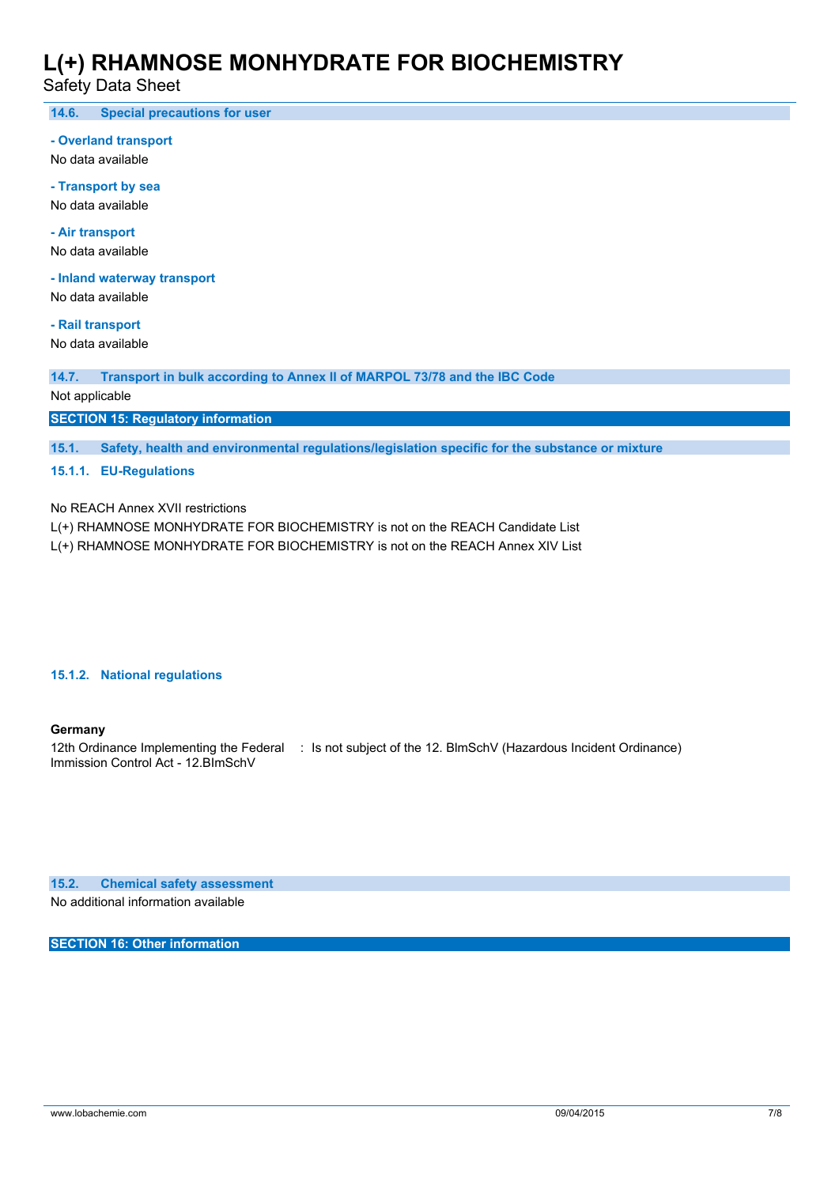Safety Data Sheet

**14.6. Special precautions for user**

**- Overland transport**

No data available

**- Transport by sea** No data available

**- Air transport** No data available

**- Inland waterway transport**

No data available

**- Rail transport**

No data available

**14.7. Transport in bulk according to Annex II of MARPOL 73/78 and the IBC Code**

Not applicable

**SECTION 15: Regulatory information**

**15.1. Safety, health and environmental regulations/legislation specific for the substance or mixture**

#### **15.1.1. EU-Regulations**

No REACH Annex XVII restrictions

L(+) RHAMNOSE MONHYDRATE FOR BIOCHEMISTRY is not on the REACH Candidate List

L(+) RHAMNOSE MONHYDRATE FOR BIOCHEMISTRY is not on the REACH Annex XIV List

#### **15.1.2. National regulations**

#### **Germany**

12th Ordinance Implementing the Federal : Is not subject of the 12. BlmSchV (Hazardous Incident Ordinance) Immission Control Act - 12.BImSchV

**15.2. Chemical safety assessment**

No additional information available

**SECTION 16: Other information**